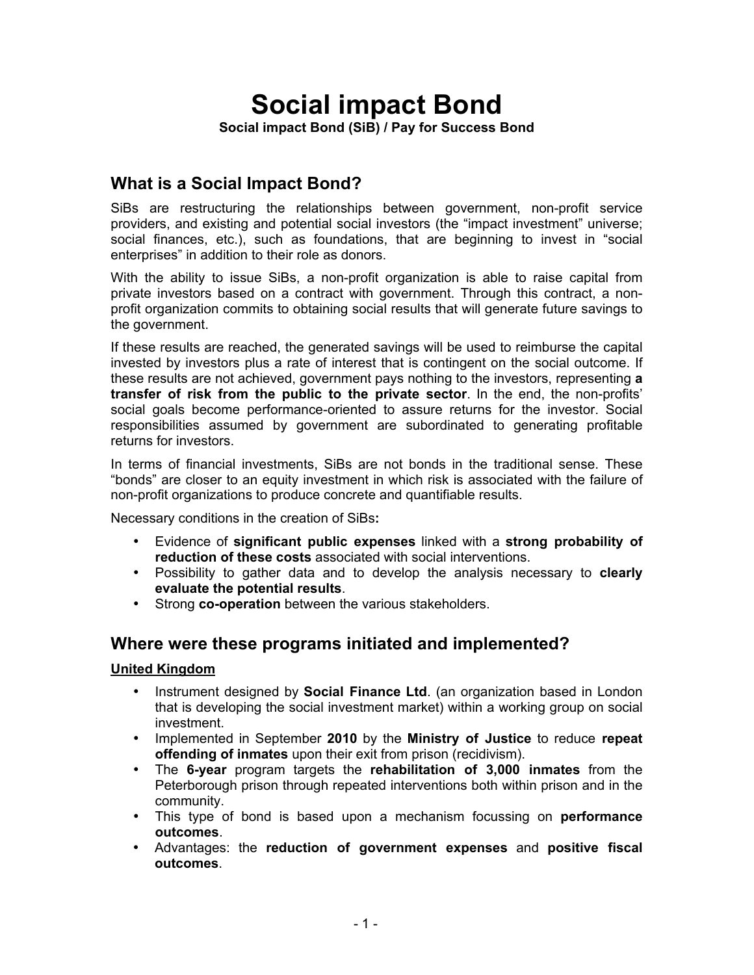# **Social impact Bond**

**Social impact Bond (SiB) / Pay for Success Bond**

# **What is a Social Impact Bond?**

SiBs are restructuring the relationships between government, non-profit service providers, and existing and potential social investors (the "impact investment" universe; social finances, etc.), such as foundations, that are beginning to invest in "social enterprises" in addition to their role as donors.

With the ability to issue SiBs, a non-profit organization is able to raise capital from private investors based on a contract with government. Through this contract, a nonprofit organization commits to obtaining social results that will generate future savings to the government.

If these results are reached, the generated savings will be used to reimburse the capital invested by investors plus a rate of interest that is contingent on the social outcome. If these results are not achieved, government pays nothing to the investors, representing **a transfer of risk from the public to the private sector**. In the end, the non-profits' social goals become performance-oriented to assure returns for the investor. Social responsibilities assumed by government are subordinated to generating profitable returns for investors.

In terms of financial investments, SiBs are not bonds in the traditional sense. These "bonds" are closer to an equity investment in which risk is associated with the failure of non-profit organizations to produce concrete and quantifiable results.

Necessary conditions in the creation of SiBs**:**

- Evidence of **significant public expenses** linked with a **strong probability of reduction of these costs** associated with social interventions.
- Possibility to gather data and to develop the analysis necessary to **clearly evaluate the potential results**.
- Strong **co-operation** between the various stakeholders.

## **Where were these programs initiated and implemented?**

## **United Kingdom**

- Instrument designed by **Social Finance Ltd**. (an organization based in London that is developing the social investment market) within a working group on social investment.
- Implemented in September **2010** by the **Ministry of Justice** to reduce **repeat offending of inmates** upon their exit from prison (recidivism).
- The **6-year** program targets the **rehabilitation of 3,000 inmates** from the Peterborough prison through repeated interventions both within prison and in the community.
- This type of bond is based upon a mechanism focussing on **performance outcomes**.
- Advantages: the **reduction of government expenses** and **positive fiscal outcomes**.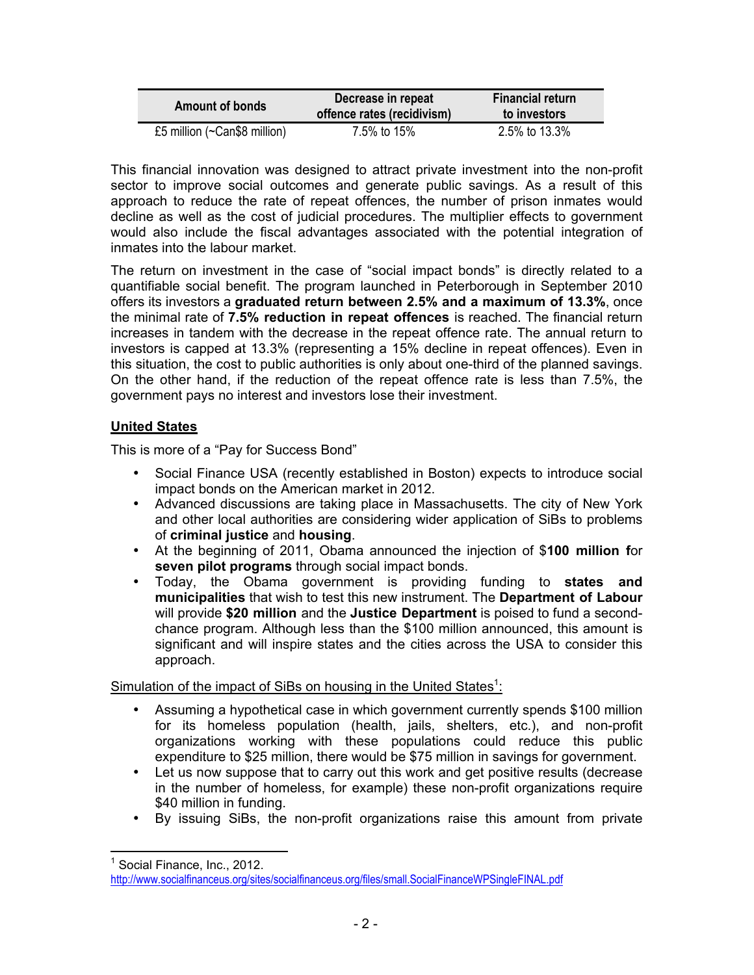| <b>Amount of bonds</b>              | Decrease in repeat<br>offence rates (recidivism) | <b>Financial return</b><br>to investors |
|-------------------------------------|--------------------------------------------------|-----------------------------------------|
| £5 million ( $\sim$ Can\$8 million) | 7.5% to 15%                                      | 2.5% to 13.3%                           |

This financial innovation was designed to attract private investment into the non-profit sector to improve social outcomes and generate public savings. As a result of this approach to reduce the rate of repeat offences, the number of prison inmates would decline as well as the cost of judicial procedures. The multiplier effects to government would also include the fiscal advantages associated with the potential integration of inmates into the labour market.

The return on investment in the case of "social impact bonds" is directly related to a quantifiable social benefit. The program launched in Peterborough in September 2010 offers its investors a **graduated return between 2.5% and a maximum of 13.3%**, once the minimal rate of **7.5% reduction in repeat offences** is reached. The financial return increases in tandem with the decrease in the repeat offence rate. The annual return to investors is capped at 13.3% (representing a 15% decline in repeat offences). Even in this situation, the cost to public authorities is only about one-third of the planned savings. On the other hand, if the reduction of the repeat offence rate is less than 7.5%, the government pays no interest and investors lose their investment.

## **United States**

This is more of a "Pay for Success Bond"

- Social Finance USA (recently established in Boston) expects to introduce social impact bonds on the American market in 2012.
- Advanced discussions are taking place in Massachusetts. The city of New York and other local authorities are considering wider application of SiBs to problems of **criminal justice** and **housing**.
- At the beginning of 2011, Obama announced the injection of \$**100 million f**or **seven pilot programs** through social impact bonds.
- Today, the Obama government is providing funding to **states and municipalities** that wish to test this new instrument. The **Department of Labour** will provide **\$20 million** and the **Justice Department** is poised to fund a secondchance program. Although less than the \$100 million announced, this amount is significant and will inspire states and the cities across the USA to consider this approach.

Simulation of the impact of SiBs on housing in the United States<sup>1</sup>:

- Assuming a hypothetical case in which government currently spends \$100 million for its homeless population (health, jails, shelters, etc.), and non-profit organizations working with these populations could reduce this public expenditure to \$25 million, there would be \$75 million in savings for government.
- Let us now suppose that to carry out this work and get positive results (decrease in the number of homeless, for example) these non-profit organizations require \$40 million in funding.
- By issuing SiBs, the non-profit organizations raise this amount from private

Social Finance, Inc., 2012.

http://www.socialfinanceus.org/sites/socialfinanceus.org/files/small.SocialFinanceWPSingleFINAL.pdf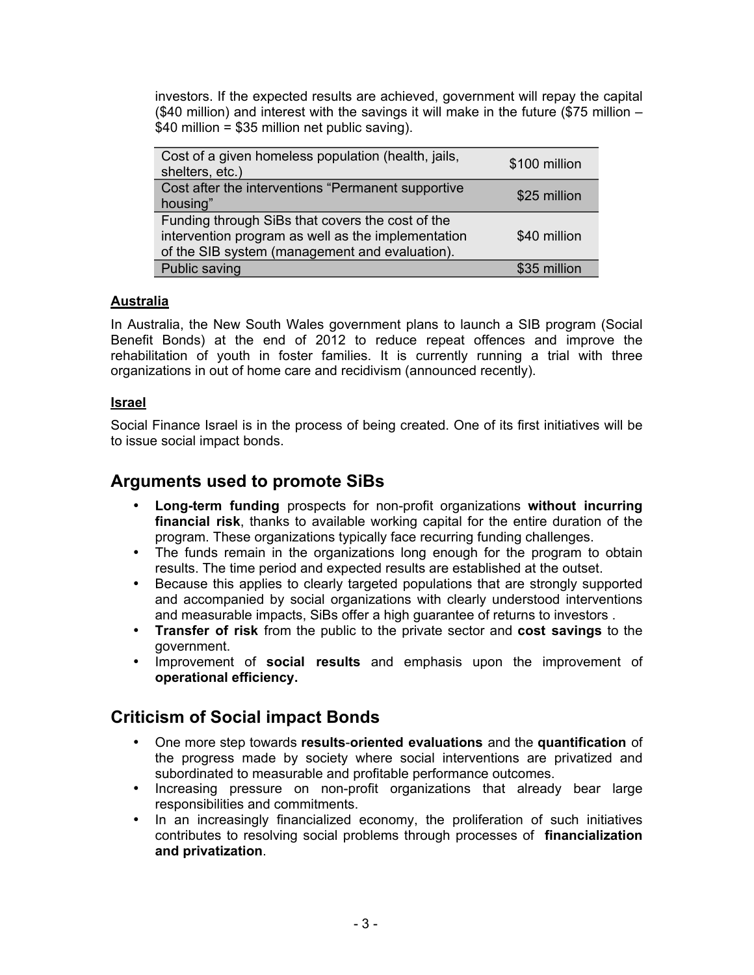investors. If the expected results are achieved, government will repay the capital (\$40 million) and interest with the savings it will make in the future (\$75 million – \$40 million = \$35 million net public saving).

| Cost of a given homeless population (health, jails,<br>shelters, etc.)                                                                                   | \$100 million |
|----------------------------------------------------------------------------------------------------------------------------------------------------------|---------------|
| Cost after the interventions "Permanent supportive<br>housing"                                                                                           | \$25 million  |
| Funding through SiBs that covers the cost of the<br>intervention program as well as the implementation<br>of the SIB system (management and evaluation). | \$40 million  |
| Public saving                                                                                                                                            | \$35 million  |

## **Australia**

In Australia, the New South Wales government plans to launch a SIB program (Social Benefit Bonds) at the end of 2012 to reduce repeat offences and improve the rehabilitation of youth in foster families. It is currently running a trial with three organizations in out of home care and recidivism (announced recently).

## **Israel**

Social Finance Israel is in the process of being created. One of its first initiatives will be to issue social impact bonds.

## **Arguments used to promote SiBs**

- **Long-term funding** prospects for non-profit organizations **without incurring financial risk**, thanks to available working capital for the entire duration of the program. These organizations typically face recurring funding challenges.
- The funds remain in the organizations long enough for the program to obtain results. The time period and expected results are established at the outset.
- Because this applies to clearly targeted populations that are strongly supported and accompanied by social organizations with clearly understood interventions and measurable impacts, SiBs offer a high guarantee of returns to investors .
- **Transfer of risk** from the public to the private sector and **cost savings** to the government.
- Improvement of **social results** and emphasis upon the improvement of **operational efficiency.**

## **Criticism of Social impact Bonds**

- One more step towards **results**-**oriented evaluations** and the **quantification** of the progress made by society where social interventions are privatized and subordinated to measurable and profitable performance outcomes.
- Increasing pressure on non-profit organizations that already bear large responsibilities and commitments.
- In an increasingly financialized economy, the proliferation of such initiatives contributes to resolving social problems through processes of **financialization and privatization**.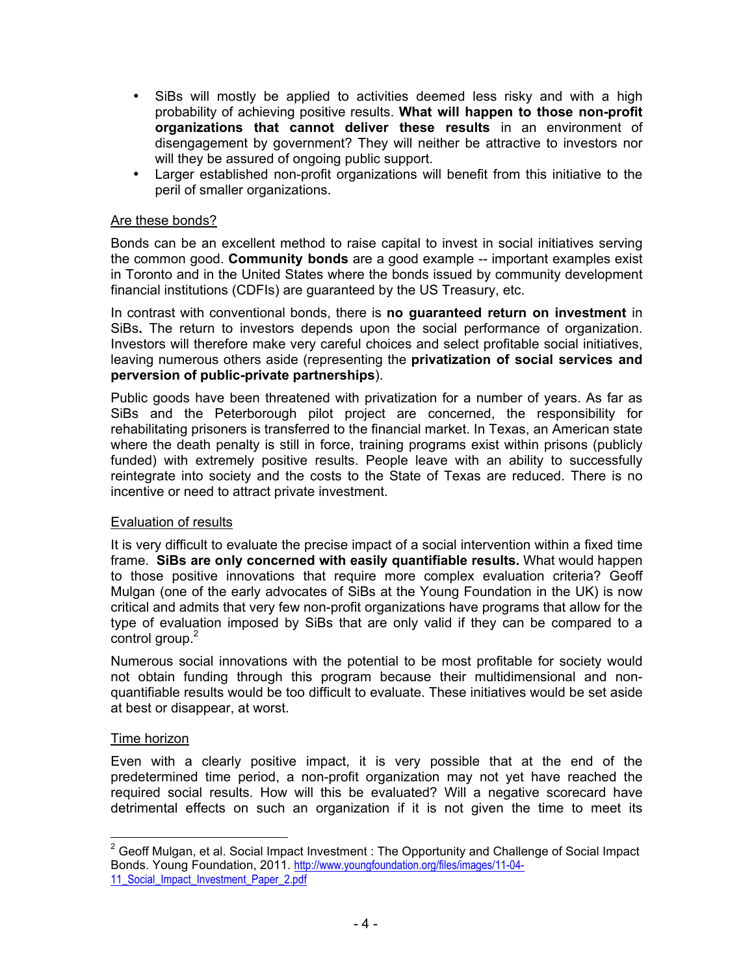- SiBs will mostly be applied to activities deemed less risky and with a high probability of achieving positive results. **What will happen to those non-profit organizations that cannot deliver these results** in an environment of disengagement by government? They will neither be attractive to investors nor will they be assured of ongoing public support.
- Larger established non-profit organizations will benefit from this initiative to the peril of smaller organizations.

#### Are these bonds?

Bonds can be an excellent method to raise capital to invest in social initiatives serving the common good. **Community bonds** are a good example -- important examples exist in Toronto and in the United States where the bonds issued by community development financial institutions (CDFIs) are guaranteed by the US Treasury, etc.

In contrast with conventional bonds, there is **no guaranteed return on investment** in SiBs**.** The return to investors depends upon the social performance of organization. Investors will therefore make very careful choices and select profitable social initiatives, leaving numerous others aside (representing the **privatization of social services and perversion of public-private partnerships**).

Public goods have been threatened with privatization for a number of years. As far as SiBs and the Peterborough pilot project are concerned, the responsibility for rehabilitating prisoners is transferred to the financial market. In Texas, an American state where the death penalty is still in force, training programs exist within prisons (publicly funded) with extremely positive results. People leave with an ability to successfully reintegrate into society and the costs to the State of Texas are reduced. There is no incentive or need to attract private investment.

## Evaluation of results

It is very difficult to evaluate the precise impact of a social intervention within a fixed time frame. **SiBs are only concerned with easily quantifiable results.** What would happen to those positive innovations that require more complex evaluation criteria? Geoff Mulgan (one of the early advocates of SiBs at the Young Foundation in the UK) is now critical and admits that very few non-profit organizations have programs that allow for the type of evaluation imposed by SiBs that are only valid if they can be compared to a control group.<sup>2</sup>

Numerous social innovations with the potential to be most profitable for society would not obtain funding through this program because their multidimensional and nonquantifiable results would be too difficult to evaluate. These initiatives would be set aside at best or disappear, at worst.

#### Time horizon

Even with a clearly positive impact, it is very possible that at the end of the predetermined time period, a non-profit organization may not yet have reached the required social results. How will this be evaluated? Will a negative scorecard have detrimental effects on such an organization if it is not given the time to meet its

 $2$  Geoff Mulgan, et al. Social Impact Investment : The Opportunity and Challenge of Social Impact Bonds. Young Foundation, 2011. http://www.youngfoundation.org/files/images/11-04- 11 Social Impact Investment Paper 2.pdf